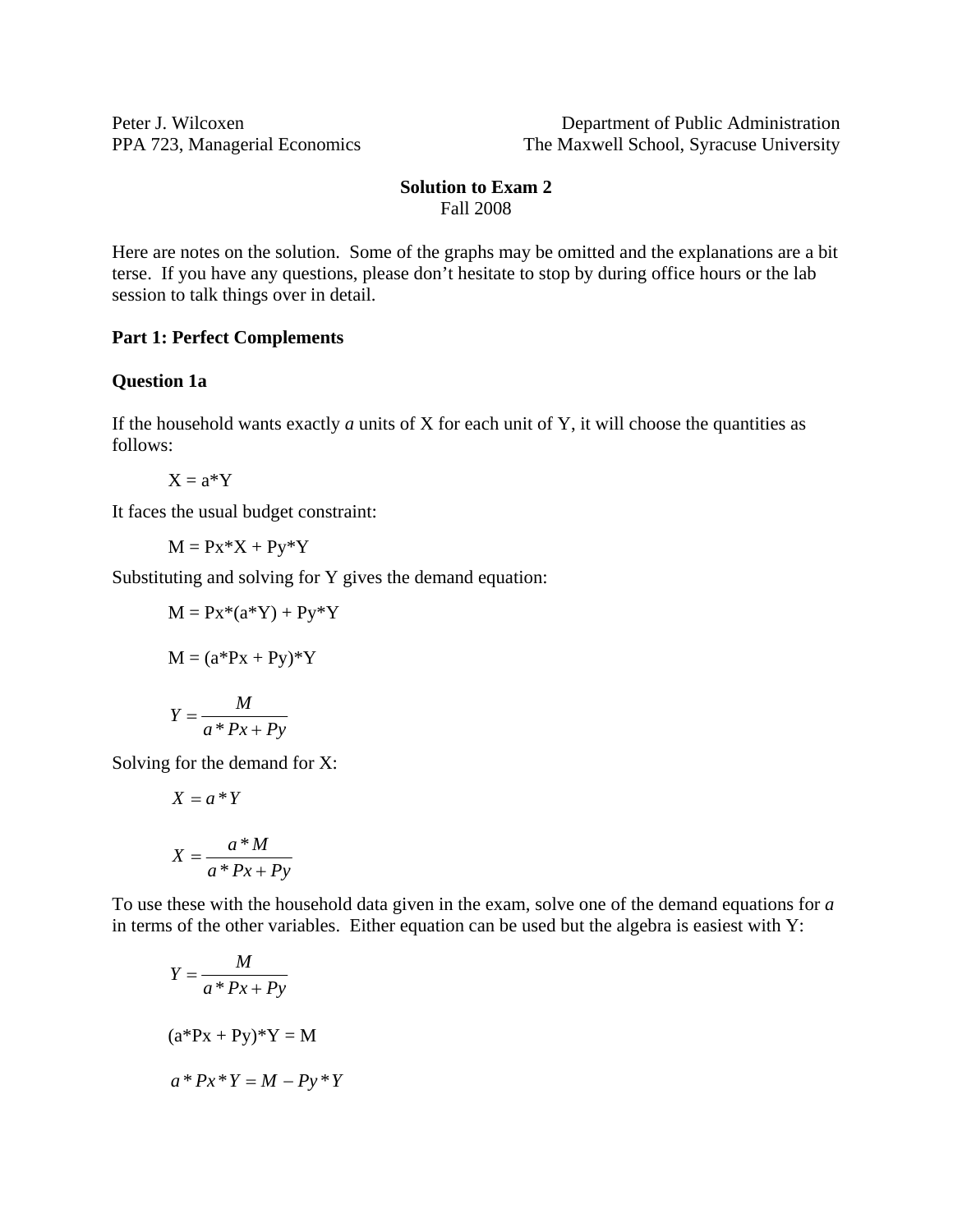Peter J. Wilcoxen Department of Public Administration PPA 723, Managerial Economics The Maxwell School, Syracuse University

## **Solution to Exam 2**  Fall 2008

Here are notes on the solution. Some of the graphs may be omitted and the explanations are a bit terse. If you have any questions, please don't hesitate to stop by during office hours or the lab session to talk things over in detail.

## **Part 1: Perfect Complements**

#### **Question 1a**

If the household wants exactly *a* units of X for each unit of Y, it will choose the quantities as follows:

 $X = a^*Y$ 

It faces the usual budget constraint:

$$
M = Px^*X + Py^*Y
$$

Substituting and solving for Y gives the demand equation:

$$
M = Px*(a*Y) + Py*Y
$$

$$
M = (a*Px + Py)*Y
$$

$$
Y = \frac{M}{a*Px + Py}
$$

Solving for the demand for X:

$$
X = a * Y
$$

$$
X = \frac{a * M}{a * Px + Py}
$$

To use these with the household data given in the exam, solve one of the demand equations for *a* in terms of the other variables. Either equation can be used but the algebra is easiest with Y:

$$
Y = \frac{M}{a*Px+Py}
$$

$$
(a*Px+Py)*Y = M
$$

$$
a*Px*Y = M - Py*Y
$$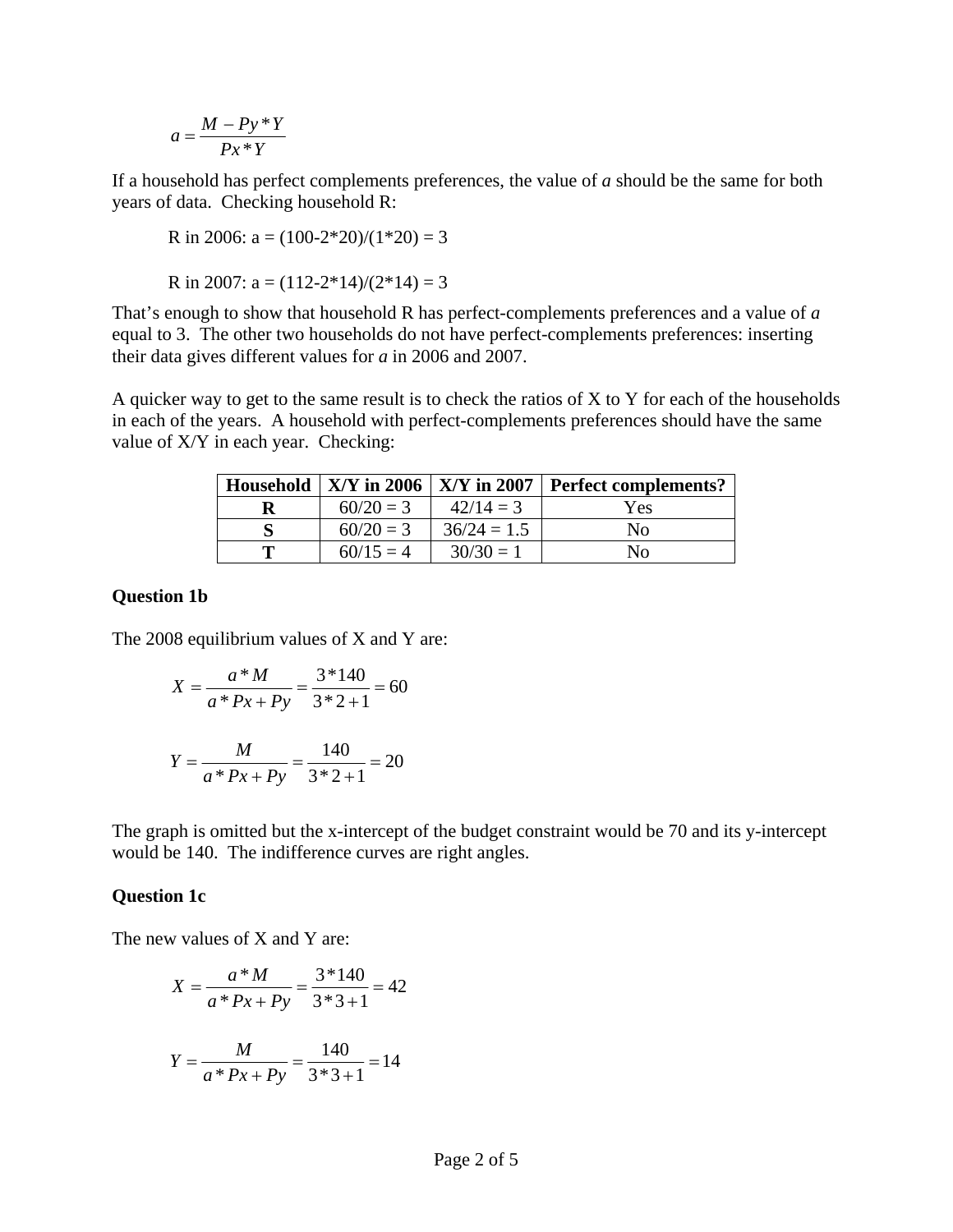$$
a = \frac{M - Py * Y}{Px * Y}
$$

If a household has perfect complements preferences, the value of *a* should be the same for both years of data. Checking household R:

R in 2006: 
$$
a = (100-2*20)/(1*20) = 3
$$

R in 2007:  $a = (112-2*14)/(2*14) = 3$ 

That's enough to show that household R has perfect-complements preferences and a value of *a* equal to 3. The other two households do not have perfect-complements preferences: inserting their data gives different values for *a* in 2006 and 2007.

A quicker way to get to the same result is to check the ratios of  $X$  to  $Y$  for each of the households in each of the years. A household with perfect-complements preferences should have the same value of X/Y in each year. Checking:

|             |               | Household $\vert$ X/Y in 2006 $\vert$ X/Y in 2007 $\vert$ Perfect complements? |
|-------------|---------------|--------------------------------------------------------------------------------|
| $60/20 = 3$ | $42/14=3$     | Yes                                                                            |
| $60/20 = 3$ | $36/24 = 1.5$ | Nο                                                                             |
| $60/15 = 4$ | $30/30=1$     | Nο                                                                             |

## **Question 1b**

The 2008 equilibrium values of X and Y are:

$$
X = \frac{a * M}{a * Px + Py} = \frac{3 * 140}{3 * 2 + 1} = 60
$$

$$
Y = \frac{M}{a*Px+Py} = \frac{140}{3*2+1} = 20
$$

The graph is omitted but the x-intercept of the budget constraint would be 70 and its y-intercept would be 140. The indifference curves are right angles.

#### **Question 1c**

The new values of X and Y are:

$$
X = \frac{a * M}{a * Px + Py} = \frac{3 * 140}{3 * 3 + 1} = 42
$$

$$
Y = \frac{M}{a * Px + Py} = \frac{140}{3 * 3 + 1} = 14
$$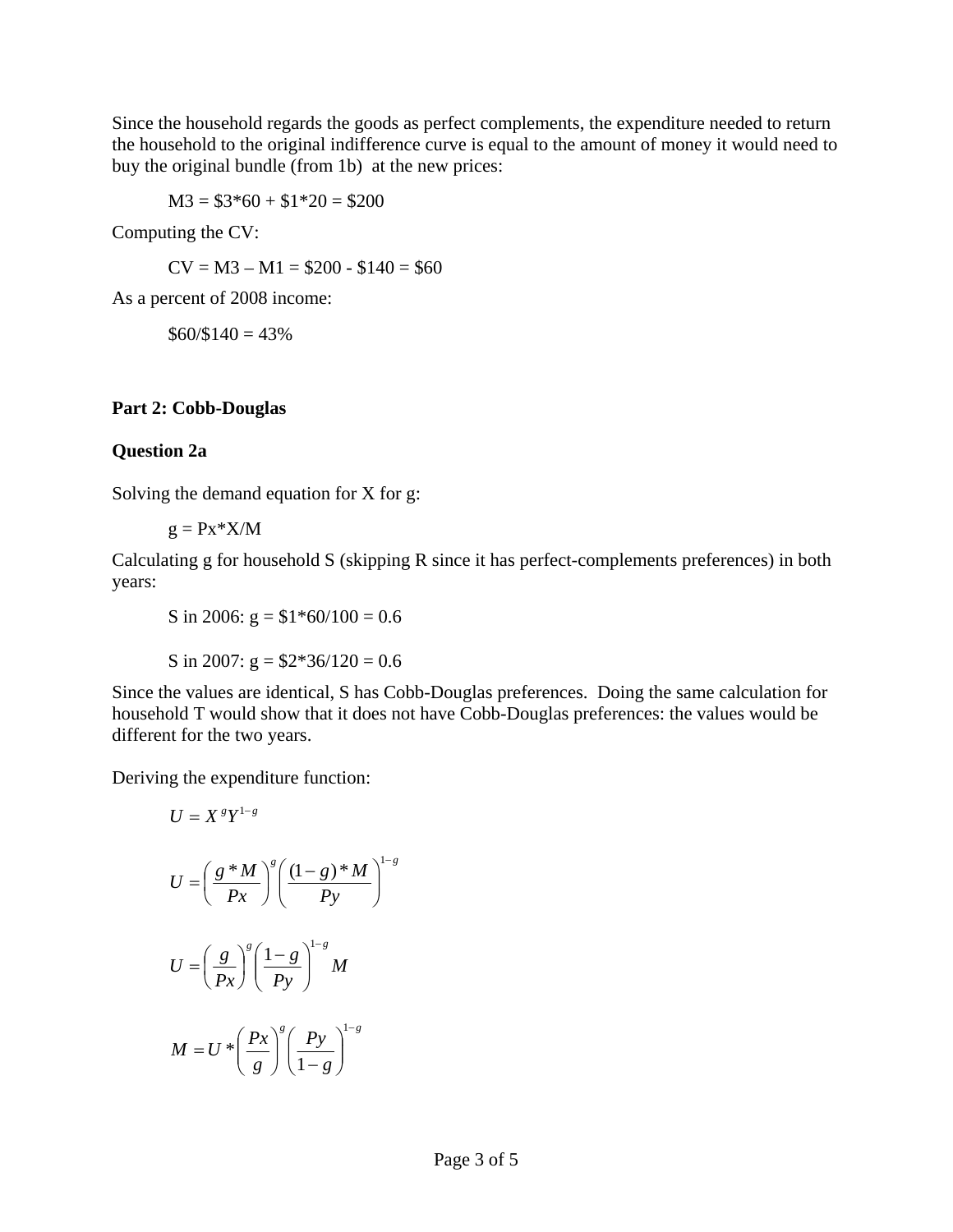Since the household regards the goods as perfect complements, the expenditure needed to return the household to the original indifference curve is equal to the amount of money it would need to buy the original bundle (from 1b) at the new prices:

 $M3 = $3*60 + $1*20 = $200$ 

Computing the CV:

 $CV = M3 - M1 = $200 - $140 = $60$ 

As a percent of 2008 income:

 $$60/$140 = 43\%$ 

## **Part 2: Cobb-Douglas**

## **Question 2a**

Solving the demand equation for X for g:

 $g = Px*X/M$ 

Calculating g for household S (skipping R since it has perfect-complements preferences) in both years:

S in 2006:  $g = $1*60/100 = 0.6$ 

S in 2007:  $g = $2*36/120 = 0.6$ 

Since the values are identical, S has Cobb-Douglas preferences. Doing the same calculation for household T would show that it does not have Cobb-Douglas preferences: the values would be different for the two years.

Deriving the expenditure function:

$$
U = XgY1-g
$$
  

$$
U = \left(\frac{g*M}{Px}\right)^g \left(\frac{(1-g)*M}{Py}\right)^{1-g}
$$
  

$$
U = \left(\frac{g}{Px}\right)^g \left(\frac{1-g}{Py}\right)^{1-g} M
$$
  

$$
M = U * \left(\frac{Px}{g}\right)^g \left(\frac{Py}{1-g}\right)^{1-g}
$$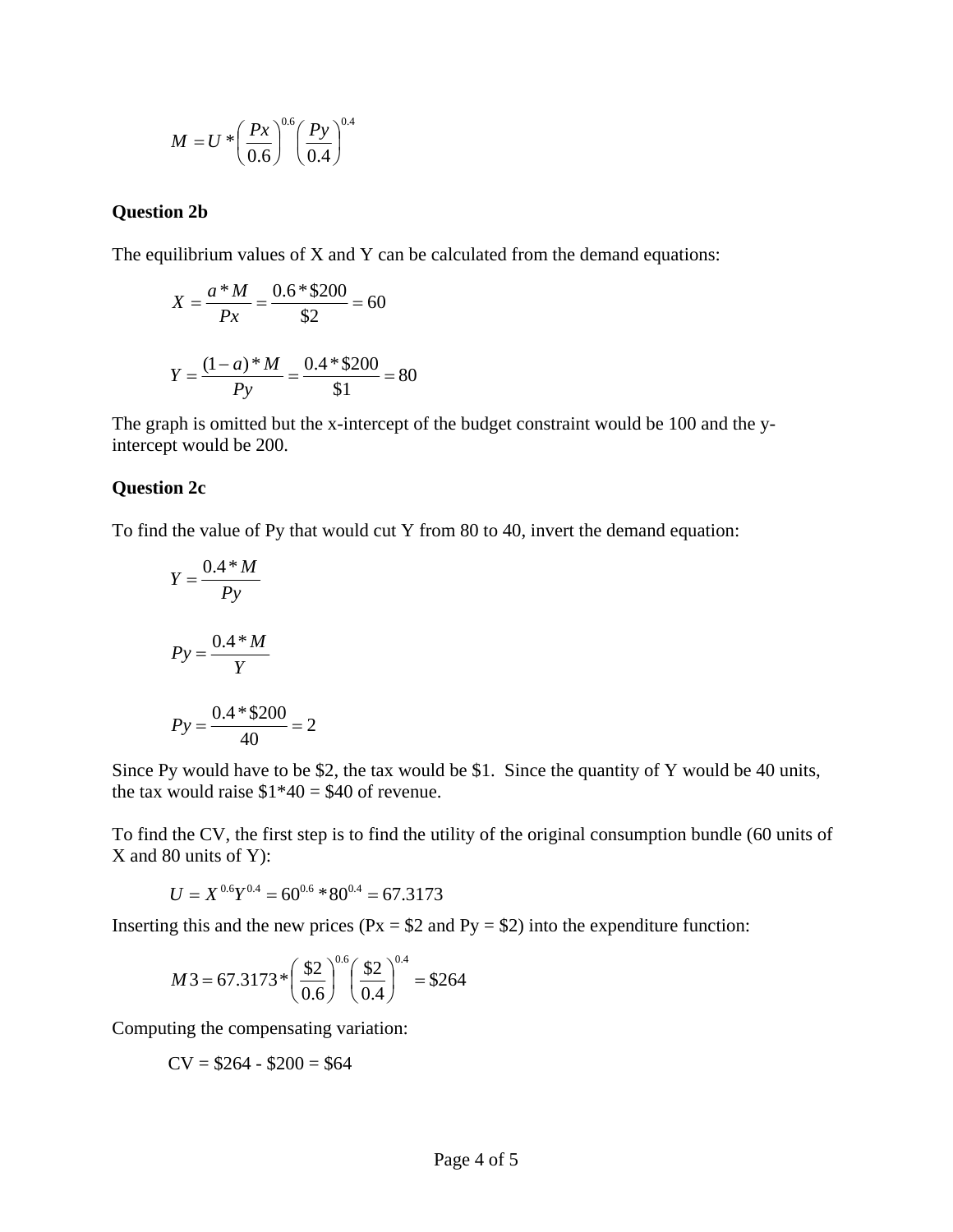$$
M = U * \left(\frac{Px}{0.6}\right)^{0.6} \left(\frac{Py}{0.4}\right)^{0.4}
$$

#### **Question 2b**

The equilibrium values of X and Y can be calculated from the demand equations:

$$
X = \frac{a * M}{Px} = \frac{0.6 * \$200}{\$2} = 60
$$

$$
Y = \frac{(1 - a) * M}{Py} = \frac{0.4 * \$200}{\$1} = 80
$$

The graph is omitted but the x-intercept of the budget constraint would be 100 and the yintercept would be 200.

#### **Question 2c**

To find the value of Py that would cut Y from 80 to 40, invert the demand equation:

$$
Y = \frac{0.4 \times M}{Py}
$$

$$
Py = \frac{0.4 \times M}{Y}
$$

$$
Py = \frac{0.4 \times 200}{40} = 2
$$

Since Py would have to be \$2, the tax would be \$1. Since the quantity of Y would be 40 units, the tax would raise  $$1*40 = $40$  of revenue.

To find the CV, the first step is to find the utility of the original consumption bundle (60 units of X and 80 units of Y):

$$
U = X^{0.6}Y^{0.4} = 60^{0.6} * 80^{0.4} = 67.3173
$$

Inserting this and the new prices ( $Px = $2$  and  $Py = $2$ ) into the expenditure function:

$$
M3 = 67.3173 \times \left(\frac{\$2}{0.6}\right)^{0.6} \left(\frac{\$2}{0.4}\right)^{0.4} = \$264
$$

Computing the compensating variation:

$$
CV = $264 - $200 = $64
$$